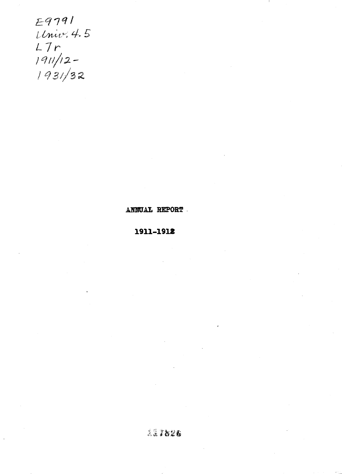E9791 Univ. 4.5  $L7r$ <br>  $190/12-$ <br>  $1931/32$ 

ANNUAL REPORT

1911-1912

 $227826$